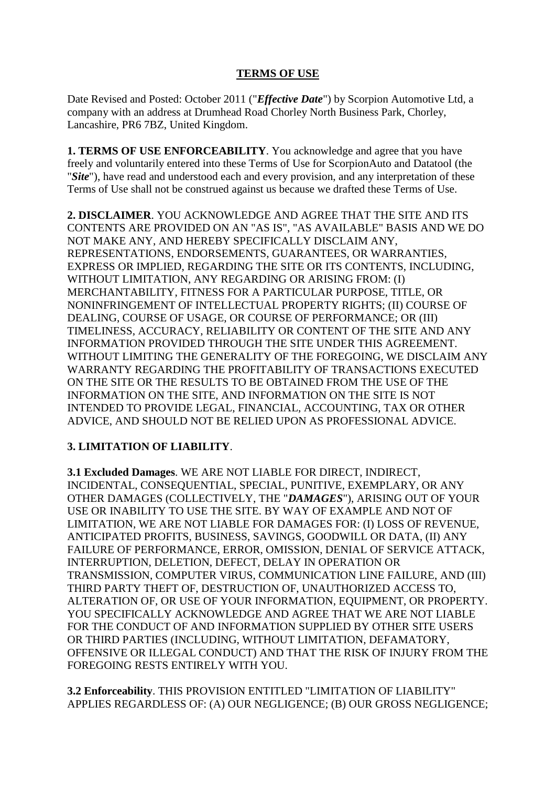## **TERMS OF USE**

Date Revised and Posted: October 2011 ("*Effective Date*") by Scorpion Automotive Ltd, a company with an address at Drumhead Road Chorley North Business Park, Chorley, Lancashire, PR6 7BZ, United Kingdom.

**1. TERMS OF USE ENFORCEABILITY**. You acknowledge and agree that you have freely and voluntarily entered into these Terms of Use for ScorpionAuto and Datatool (the "*Site*"), have read and understood each and every provision, and any interpretation of these Terms of Use shall not be construed against us because we drafted these Terms of Use.

**2. DISCLAIMER**. YOU ACKNOWLEDGE AND AGREE THAT THE SITE AND ITS CONTENTS ARE PROVIDED ON AN "AS IS", "AS AVAILABLE" BASIS AND WE DO NOT MAKE ANY, AND HEREBY SPECIFICALLY DISCLAIM ANY, REPRESENTATIONS, ENDORSEMENTS, GUARANTEES, OR WARRANTIES, EXPRESS OR IMPLIED, REGARDING THE SITE OR ITS CONTENTS, INCLUDING, WITHOUT LIMITATION, ANY REGARDING OR ARISING FROM: (I) MERCHANTABILITY, FITNESS FOR A PARTICULAR PURPOSE, TITLE, OR NONINFRINGEMENT OF INTELLECTUAL PROPERTY RIGHTS; (II) COURSE OF DEALING, COURSE OF USAGE, OR COURSE OF PERFORMANCE; OR (III) TIMELINESS, ACCURACY, RELIABILITY OR CONTENT OF THE SITE AND ANY INFORMATION PROVIDED THROUGH THE SITE UNDER THIS AGREEMENT. WITHOUT LIMITING THE GENERALITY OF THE FOREGOING, WE DISCLAIM ANY WARRANTY REGARDING THE PROFITABILITY OF TRANSACTIONS EXECUTED ON THE SITE OR THE RESULTS TO BE OBTAINED FROM THE USE OF THE INFORMATION ON THE SITE, AND INFORMATION ON THE SITE IS NOT INTENDED TO PROVIDE LEGAL, FINANCIAL, ACCOUNTING, TAX OR OTHER ADVICE, AND SHOULD NOT BE RELIED UPON AS PROFESSIONAL ADVICE.

## **3. LIMITATION OF LIABILITY**.

**3.1 Excluded Damages**. WE ARE NOT LIABLE FOR DIRECT, INDIRECT, INCIDENTAL, CONSEQUENTIAL, SPECIAL, PUNITIVE, EXEMPLARY, OR ANY OTHER DAMAGES (COLLECTIVELY, THE "*DAMAGES*"), ARISING OUT OF YOUR USE OR INABILITY TO USE THE SITE. BY WAY OF EXAMPLE AND NOT OF LIMITATION, WE ARE NOT LIABLE FOR DAMAGES FOR: (I) LOSS OF REVENUE, ANTICIPATED PROFITS, BUSINESS, SAVINGS, GOODWILL OR DATA, (II) ANY FAILURE OF PERFORMANCE, ERROR, OMISSION, DENIAL OF SERVICE ATTACK, INTERRUPTION, DELETION, DEFECT, DELAY IN OPERATION OR TRANSMISSION, COMPUTER VIRUS, COMMUNICATION LINE FAILURE, AND (III) THIRD PARTY THEFT OF, DESTRUCTION OF, UNAUTHORIZED ACCESS TO, ALTERATION OF, OR USE OF YOUR INFORMATION, EQUIPMENT, OR PROPERTY. YOU SPECIFICALLY ACKNOWLEDGE AND AGREE THAT WE ARE NOT LIABLE FOR THE CONDUCT OF AND INFORMATION SUPPLIED BY OTHER SITE USERS OR THIRD PARTIES (INCLUDING, WITHOUT LIMITATION, DEFAMATORY, OFFENSIVE OR ILLEGAL CONDUCT) AND THAT THE RISK OF INJURY FROM THE FOREGOING RESTS ENTIRELY WITH YOU.

**3.2 Enforceability**. THIS PROVISION ENTITLED "LIMITATION OF LIABILITY" APPLIES REGARDLESS OF: (A) OUR NEGLIGENCE; (B) OUR GROSS NEGLIGENCE;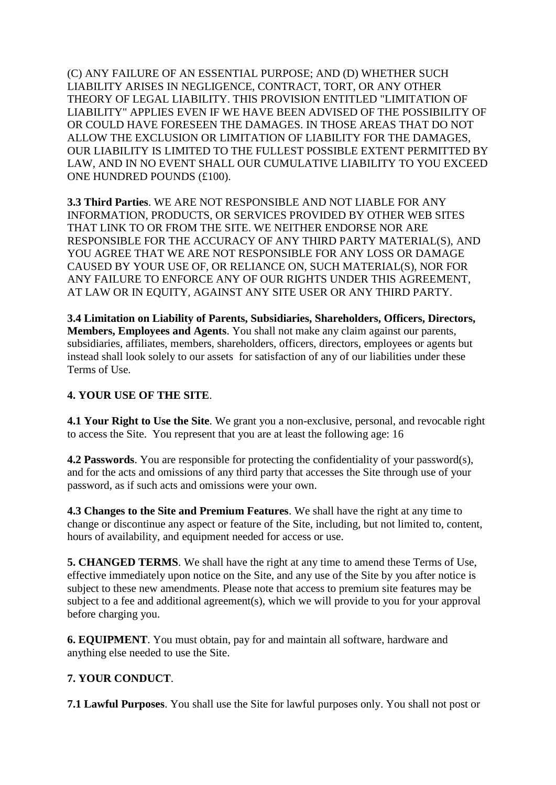(C) ANY FAILURE OF AN ESSENTIAL PURPOSE; AND (D) WHETHER SUCH LIABILITY ARISES IN NEGLIGENCE, CONTRACT, TORT, OR ANY OTHER THEORY OF LEGAL LIABILITY. THIS PROVISION ENTITLED "LIMITATION OF LIABILITY" APPLIES EVEN IF WE HAVE BEEN ADVISED OF THE POSSIBILITY OF OR COULD HAVE FORESEEN THE DAMAGES. IN THOSE AREAS THAT DO NOT ALLOW THE EXCLUSION OR LIMITATION OF LIABILITY FOR THE DAMAGES, OUR LIABILITY IS LIMITED TO THE FULLEST POSSIBLE EXTENT PERMITTED BY LAW, AND IN NO EVENT SHALL OUR CUMULATIVE LIABILITY TO YOU EXCEED ONE HUNDRED POUNDS (£100).

**3.3 Third Parties**. WE ARE NOT RESPONSIBLE AND NOT LIABLE FOR ANY INFORMATION, PRODUCTS, OR SERVICES PROVIDED BY OTHER WEB SITES THAT LINK TO OR FROM THE SITE. WE NEITHER ENDORSE NOR ARE RESPONSIBLE FOR THE ACCURACY OF ANY THIRD PARTY MATERIAL(S), AND YOU AGREE THAT WE ARE NOT RESPONSIBLE FOR ANY LOSS OR DAMAGE CAUSED BY YOUR USE OF, OR RELIANCE ON, SUCH MATERIAL(S), NOR FOR ANY FAILURE TO ENFORCE ANY OF OUR RIGHTS UNDER THIS AGREEMENT, AT LAW OR IN EQUITY, AGAINST ANY SITE USER OR ANY THIRD PARTY.

**3.4 Limitation on Liability of Parents, Subsidiaries, Shareholders, Officers, Directors, Members, Employees and Agents**. You shall not make any claim against our parents, subsidiaries, affiliates, members, shareholders, officers, directors, employees or agents but instead shall look solely to our assets for satisfaction of any of our liabilities under these Terms of Use.

## **4. YOUR USE OF THE SITE**.

**4.1 Your Right to Use the Site**. We grant you a non-exclusive, personal, and revocable right to access the Site. You represent that you are at least the following age: 16

**4.2 Passwords**. You are responsible for protecting the confidentiality of your password(s), and for the acts and omissions of any third party that accesses the Site through use of your password, as if such acts and omissions were your own.

**4.3 Changes to the Site and Premium Features**. We shall have the right at any time to change or discontinue any aspect or feature of the Site, including, but not limited to, content, hours of availability, and equipment needed for access or use.

**5. CHANGED TERMS**. We shall have the right at any time to amend these Terms of Use, effective immediately upon notice on the Site, and any use of the Site by you after notice is subject to these new amendments. Please note that access to premium site features may be subject to a fee and additional agreement(s), which we will provide to you for your approval before charging you.

**6. EQUIPMENT**. You must obtain, pay for and maintain all software, hardware and anything else needed to use the Site.

## **7. YOUR CONDUCT**.

**7.1 Lawful Purposes**. You shall use the Site for lawful purposes only. You shall not post or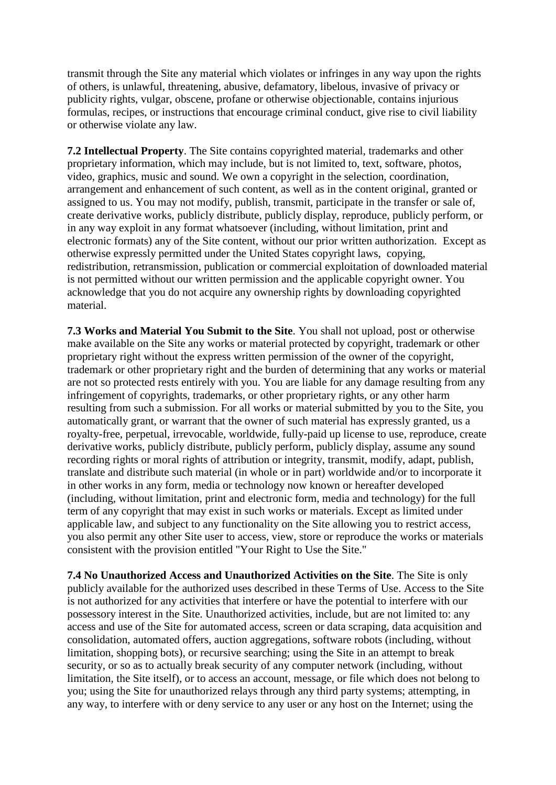transmit through the Site any material which violates or infringes in any way upon the rights of others, is unlawful, threatening, abusive, defamatory, libelous, invasive of privacy or publicity rights, vulgar, obscene, profane or otherwise objectionable, contains injurious formulas, recipes, or instructions that encourage criminal conduct, give rise to civil liability or otherwise violate any law.

**7.2 Intellectual Property**. The Site contains copyrighted material, trademarks and other proprietary information, which may include, but is not limited to, text, software, photos, video, graphics, music and sound. We own a copyright in the selection, coordination, arrangement and enhancement of such content, as well as in the content original, granted or assigned to us. You may not modify, publish, transmit, participate in the transfer or sale of, create derivative works, publicly distribute, publicly display, reproduce, publicly perform, or in any way exploit in any format whatsoever (including, without limitation, print and electronic formats) any of the Site content, without our prior written authorization. Except as otherwise expressly permitted under the United States copyright laws, copying, redistribution, retransmission, publication or commercial exploitation of downloaded material is not permitted without our written permission and the applicable copyright owner. You acknowledge that you do not acquire any ownership rights by downloading copyrighted material.

**7.3 Works and Material You Submit to the Site**. You shall not upload, post or otherwise make available on the Site any works or material protected by copyright, trademark or other proprietary right without the express written permission of the owner of the copyright, trademark or other proprietary right and the burden of determining that any works or material are not so protected rests entirely with you. You are liable for any damage resulting from any infringement of copyrights, trademarks, or other proprietary rights, or any other harm resulting from such a submission. For all works or material submitted by you to the Site, you automatically grant, or warrant that the owner of such material has expressly granted, us a royalty-free, perpetual, irrevocable, worldwide, fully-paid up license to use, reproduce, create derivative works, publicly distribute, publicly perform, publicly display, assume any sound recording rights or moral rights of attribution or integrity, transmit, modify, adapt, publish, translate and distribute such material (in whole or in part) worldwide and/or to incorporate it in other works in any form, media or technology now known or hereafter developed (including, without limitation, print and electronic form, media and technology) for the full term of any copyright that may exist in such works or materials. Except as limited under applicable law, and subject to any functionality on the Site allowing you to restrict access, you also permit any other Site user to access, view, store or reproduce the works or materials consistent with the provision entitled "Your Right to Use the Site."

**7.4 No Unauthorized Access and Unauthorized Activities on the Site**. The Site is only publicly available for the authorized uses described in these Terms of Use. Access to the Site is not authorized for any activities that interfere or have the potential to interfere with our possessory interest in the Site. Unauthorized activities, include, but are not limited to: any access and use of the Site for automated access, screen or data scraping, data acquisition and consolidation, automated offers, auction aggregations, software robots (including, without limitation, shopping bots), or recursive searching; using the Site in an attempt to break security, or so as to actually break security of any computer network (including, without limitation, the Site itself), or to access an account, message, or file which does not belong to you; using the Site for unauthorized relays through any third party systems; attempting, in any way, to interfere with or deny service to any user or any host on the Internet; using the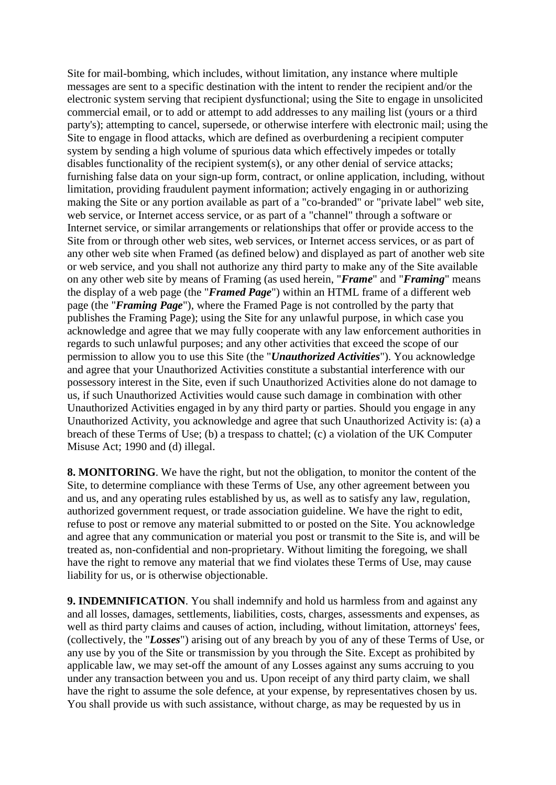Site for mail-bombing, which includes, without limitation, any instance where multiple messages are sent to a specific destination with the intent to render the recipient and/or the electronic system serving that recipient dysfunctional; using the Site to engage in unsolicited commercial email, or to add or attempt to add addresses to any mailing list (yours or a third party's); attempting to cancel, supersede, or otherwise interfere with electronic mail; using the Site to engage in flood attacks, which are defined as overburdening a recipient computer system by sending a high volume of spurious data which effectively impedes or totally disables functionality of the recipient system(s), or any other denial of service attacks; furnishing false data on your sign-up form, contract, or online application, including, without limitation, providing fraudulent payment information; actively engaging in or authorizing making the Site or any portion available as part of a "co-branded" or "private label" web site, web service, or Internet access service, or as part of a "channel" through a software or Internet service, or similar arrangements or relationships that offer or provide access to the Site from or through other web sites, web services, or Internet access services, or as part of any other web site when Framed (as defined below) and displayed as part of another web site or web service, and you shall not authorize any third party to make any of the Site available on any other web site by means of Framing (as used herein, "*Frame*" and "*Framing*" means the display of a web page (the "*Framed Page*") within an HTML frame of a different web page (the "*Framing Page*"), where the Framed Page is not controlled by the party that publishes the Framing Page); using the Site for any unlawful purpose, in which case you acknowledge and agree that we may fully cooperate with any law enforcement authorities in regards to such unlawful purposes; and any other activities that exceed the scope of our permission to allow you to use this Site (the "*Unauthorized Activities*"). You acknowledge and agree that your Unauthorized Activities constitute a substantial interference with our possessory interest in the Site, even if such Unauthorized Activities alone do not damage to us, if such Unauthorized Activities would cause such damage in combination with other Unauthorized Activities engaged in by any third party or parties. Should you engage in any Unauthorized Activity, you acknowledge and agree that such Unauthorized Activity is: (a) a breach of these Terms of Use; (b) a trespass to chattel; (c) a violation of the UK Computer Misuse Act; 1990 and (d) illegal.

**8. MONITORING**. We have the right, but not the obligation, to monitor the content of the Site, to determine compliance with these Terms of Use, any other agreement between you and us, and any operating rules established by us, as well as to satisfy any law, regulation, authorized government request, or trade association guideline. We have the right to edit, refuse to post or remove any material submitted to or posted on the Site. You acknowledge and agree that any communication or material you post or transmit to the Site is, and will be treated as, non-confidential and non-proprietary. Without limiting the foregoing, we shall have the right to remove any material that we find violates these Terms of Use, may cause liability for us, or is otherwise objectionable.

**9. INDEMNIFICATION**. You shall indemnify and hold us harmless from and against any and all losses, damages, settlements, liabilities, costs, charges, assessments and expenses, as well as third party claims and causes of action, including, without limitation, attorneys' fees, (collectively, the "*Losses*") arising out of any breach by you of any of these Terms of Use, or any use by you of the Site or transmission by you through the Site. Except as prohibited by applicable law, we may set-off the amount of any Losses against any sums accruing to you under any transaction between you and us. Upon receipt of any third party claim, we shall have the right to assume the sole defence, at your expense, by representatives chosen by us. You shall provide us with such assistance, without charge, as may be requested by us in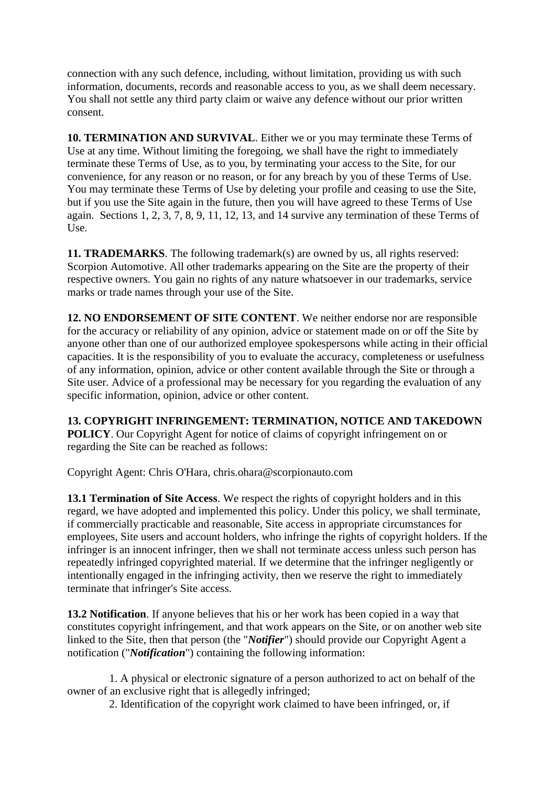connection with any such defence, including, without limitation, providing us with such information, documents, records and reasonable access to you, as we shall deem necessary. You shall not settle any third party claim or waive any defence without our prior written consent.

**10. TERMINATION AND SURVIVAL**. Either we or you may terminate these Terms of Use at any time. Without limiting the foregoing, we shall have the right to immediately terminate these Terms of Use, as to you, by terminating your access to the Site, for our convenience, for any reason or no reason, or for any breach by you of these Terms of Use. You may terminate these Terms of Use by deleting your profile and ceasing to use the Site, but if you use the Site again in the future, then you will have agreed to these Terms of Use again. Sections 1, 2, 3, 7, 8, 9, 11, 12, 13, and 14 survive any termination of these Terms of Use.

**11. TRADEMARKS**. The following trademark(s) are owned by us, all rights reserved: Scorpion Automotive. All other trademarks appearing on the Site are the property of their respective owners. You gain no rights of any nature whatsoever in our trademarks, service marks or trade names through your use of the Site.

**12. NO ENDORSEMENT OF SITE CONTENT**. We neither endorse nor are responsible for the accuracy or reliability of any opinion, advice or statement made on or off the Site by anyone other than one of our authorized employee spokespersons while acting in their official capacities. It is the responsibility of you to evaluate the accuracy, completeness or usefulness of any information, opinion, advice or other content available through the Site or through a Site user. Advice of a professional may be necessary for you regarding the evaluation of any specific information, opinion, advice or other content.

**13. COPYRIGHT INFRINGEMENT: TERMINATION, NOTICE AND TAKEDOWN POLICY**. Our Copyright Agent for notice of claims of copyright infringement on or regarding the Site can be reached as follows:

Copyright Agent: Chris O'Hara, chris.ohara@scorpionauto.com

**13.1 Termination of Site Access**. We respect the rights of copyright holders and in this regard, we have adopted and implemented this policy. Under this policy, we shall terminate, if commercially practicable and reasonable, Site access in appropriate circumstances for employees, Site users and account holders, who infringe the rights of copyright holders. If the infringer is an innocent infringer, then we shall not terminate access unless such person has repeatedly infringed copyrighted material. If we determine that the infringer negligently or intentionally engaged in the infringing activity, then we reserve the right to immediately terminate that infringer's Site access.

**13.2 Notification**. If anyone believes that his or her work has been copied in a way that constitutes copyright infringement, and that work appears on the Site, or on another web site linked to the Site, then that person (the "*Notifier*") should provide our Copyright Agent a notification ("*Notification*") containing the following information:

 1. A physical or electronic signature of a person authorized to act on behalf of the owner of an exclusive right that is allegedly infringed;

2. Identification of the copyright work claimed to have been infringed, or, if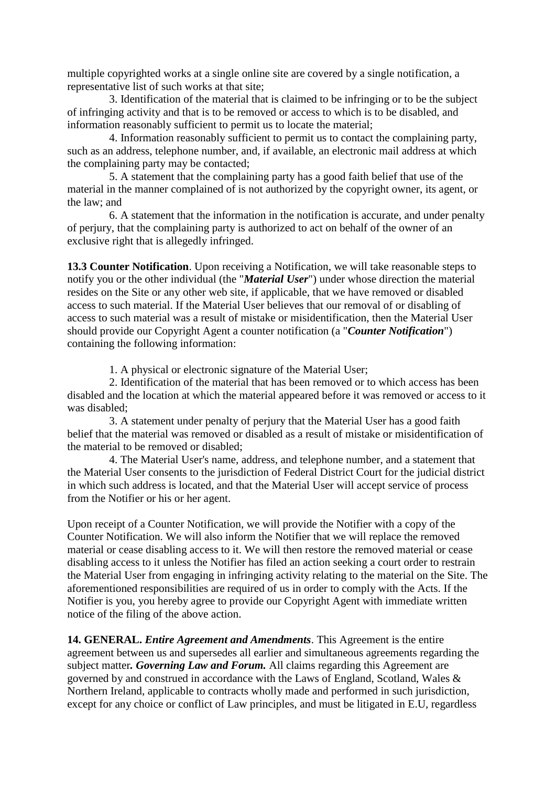multiple copyrighted works at a single online site are covered by a single notification, a representative list of such works at that site;

 3. Identification of the material that is claimed to be infringing or to be the subject of infringing activity and that is to be removed or access to which is to be disabled, and information reasonably sufficient to permit us to locate the material;

 4. Information reasonably sufficient to permit us to contact the complaining party, such as an address, telephone number, and, if available, an electronic mail address at which the complaining party may be contacted;

 5. A statement that the complaining party has a good faith belief that use of the material in the manner complained of is not authorized by the copyright owner, its agent, or the law; and

 6. A statement that the information in the notification is accurate, and under penalty of perjury, that the complaining party is authorized to act on behalf of the owner of an exclusive right that is allegedly infringed.

**13.3 Counter Notification**. Upon receiving a Notification, we will take reasonable steps to notify you or the other individual (the "*Material User*") under whose direction the material resides on the Site or any other web site, if applicable, that we have removed or disabled access to such material. If the Material User believes that our removal of or disabling of access to such material was a result of mistake or misidentification, then the Material User should provide our Copyright Agent a counter notification (a "*Counter Notification*") containing the following information:

1. A physical or electronic signature of the Material User;

 2. Identification of the material that has been removed or to which access has been disabled and the location at which the material appeared before it was removed or access to it was disabled;

 3. A statement under penalty of perjury that the Material User has a good faith belief that the material was removed or disabled as a result of mistake or misidentification of the material to be removed or disabled;

 4. The Material User's name, address, and telephone number, and a statement that the Material User consents to the jurisdiction of Federal District Court for the judicial district in which such address is located, and that the Material User will accept service of process from the Notifier or his or her agent.

Upon receipt of a Counter Notification, we will provide the Notifier with a copy of the Counter Notification. We will also inform the Notifier that we will replace the removed material or cease disabling access to it. We will then restore the removed material or cease disabling access to it unless the Notifier has filed an action seeking a court order to restrain the Material User from engaging in infringing activity relating to the material on the Site. The aforementioned responsibilities are required of us in order to comply with the Acts. If the Notifier is you, you hereby agree to provide our Copyright Agent with immediate written notice of the filing of the above action.

**14. GENERAL.** *Entire Agreement and Amendments*. This Agreement is the entire agreement between us and supersedes all earlier and simultaneous agreements regarding the subject matter*. Governing Law and Forum.* All claims regarding this Agreement are governed by and construed in accordance with the Laws of England, Scotland, Wales & Northern Ireland, applicable to contracts wholly made and performed in such jurisdiction, except for any choice or conflict of Law principles, and must be litigated in E.U, regardless